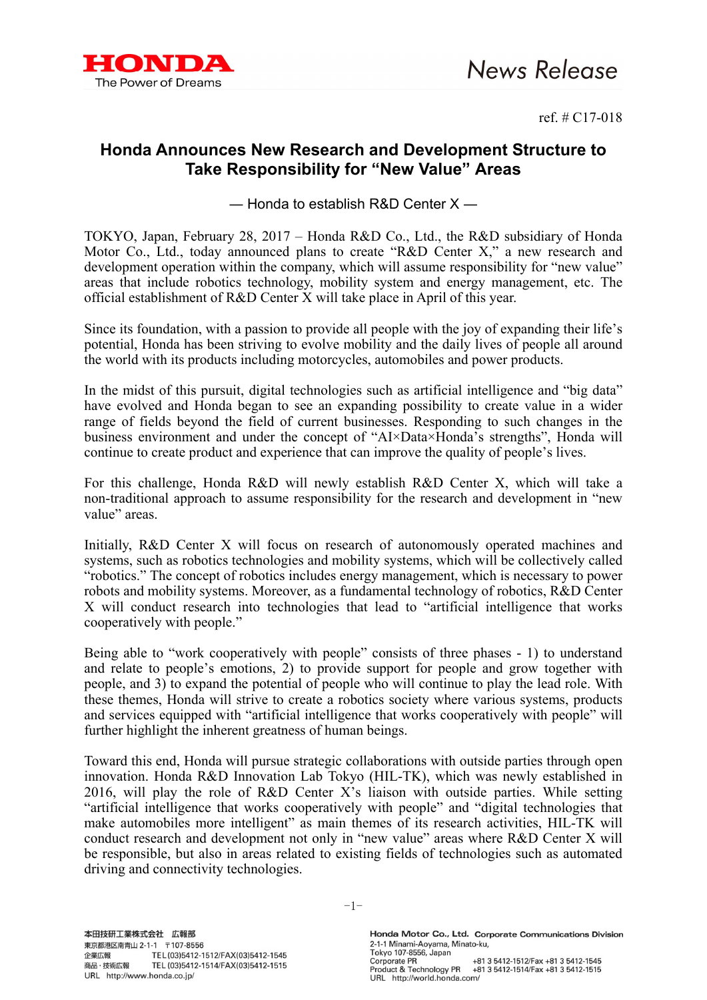

ref. # C17-018

## **Honda Announces New Research and Development Structure to Take Responsibility for "New Value" Areas**

― Honda to establish R&D Center X ―

TOKYO, Japan, February 28, 2017 – Honda R&D Co., Ltd., the R&D subsidiary of Honda Motor Co., Ltd., today announced plans to create "R&D Center X," a new research and development operation within the company, which will assume responsibility for "new value" areas that include robotics technology, mobility system and energy management, etc. The official establishment of R&D Center X will take place in April of this year.

Since its foundation, with a passion to provide all people with the joy of expanding their life's potential, Honda has been striving to evolve mobility and the daily lives of people all around the world with its products including motorcycles, automobiles and power products.

In the midst of this pursuit, digital technologies such as artificial intelligence and "big data" have evolved and Honda began to see an expanding possibility to create value in a wider range of fields beyond the field of current businesses. Responding to such changes in the business environment and under the concept of "AI×Data×Honda's strengths", Honda will continue to create product and experience that can improve the quality of people's lives.

For this challenge, Honda R&D will newly establish R&D Center X, which will take a non-traditional approach to assume responsibility for the research and development in "new value" areas.

Initially, R&D Center X will focus on research of autonomously operated machines and systems, such as robotics technologies and mobility systems, which will be collectively called "robotics." The concept of robotics includes energy management, which is necessary to power robots and mobility systems. Moreover, as a fundamental technology of robotics, R&D Center X will conduct research into technologies that lead to "artificial intelligence that works cooperatively with people."

Being able to "work cooperatively with people" consists of three phases - 1) to understand and relate to people's emotions, 2) to provide support for people and grow together with people, and 3) to expand the potential of people who will continue to play the lead role. With these themes, Honda will strive to create a robotics society where various systems, products and services equipped with "artificial intelligence that works cooperatively with people" will further highlight the inherent greatness of human beings.

Toward this end, Honda will pursue strategic collaborations with outside parties through open innovation. Honda R&D Innovation Lab Tokyo (HIL-TK), which was newly established in 2016, will play the role of R&D Center X's liaison with outside parties. While setting "artificial intelligence that works cooperatively with people" and "digital technologies that make automobiles more intelligent" as main themes of its research activities, HIL-TK will conduct research and development not only in "new value" areas where R&D Center X will be responsible, but also in areas related to existing fields of technologies such as automated driving and connectivity technologies.